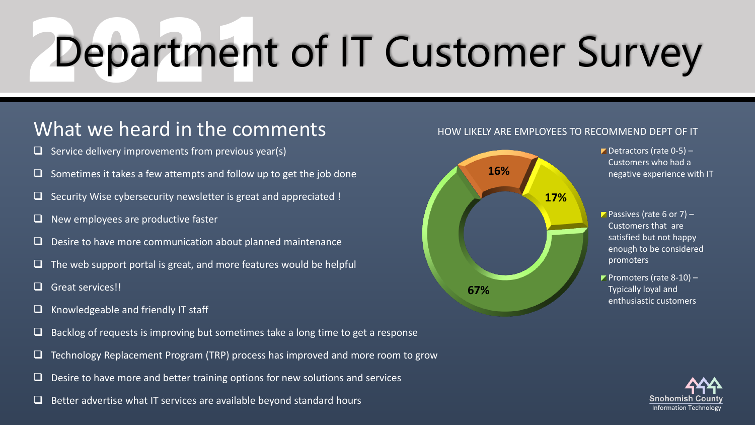# Department of IT Customer Survey

### What we heard in the comments

- $\Box$  Service delivery improvements from previous year(s)
- Sometimes it takes a few attempts and follow up to get the job done
- $\Box$  Security Wise cybersecurity newsletter is great and appreciated !
- $\Box$  New employees are productive faster
- ❑ Desire to have more communication about planned maintenance
- $\Box$  The web support portal is great, and more features would be helpful
- ❑ Great services!!
- ❑ Knowledgeable and friendly IT staff
- $\Box$  Backlog of requests is improving but sometimes take a long time to get a response
- ❑ Technology Replacement Program (TRP) process has improved and more room to grow
- $\Box$  Desire to have more and better training options for new solutions and services
- $\Box$  Better advertise what IT services are available beyond standard hours